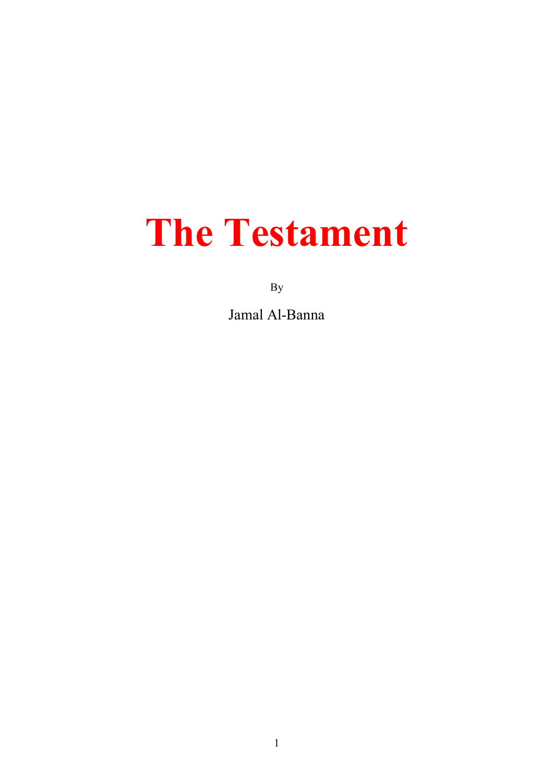## **The Testament**

By

Jamal Al-Banna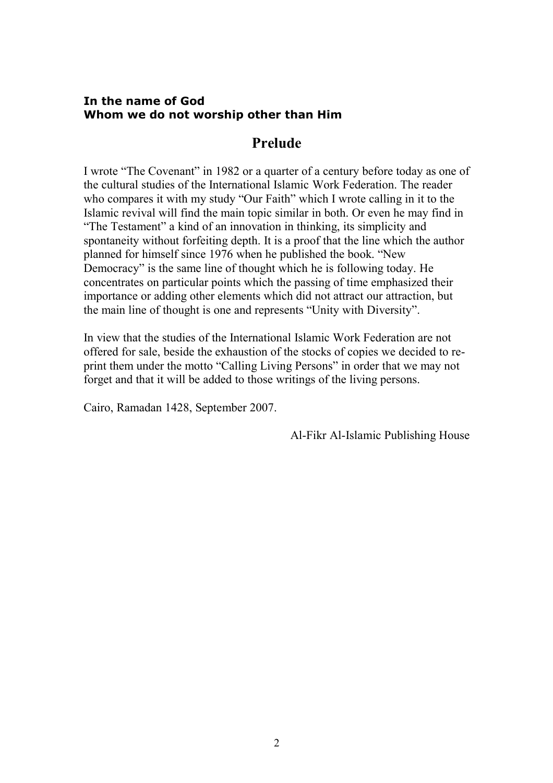## **In the name of God Whom we do not worship other than Him**

## **Prelude**

I wrote "The Covenant" in 1982 or a quarter of a century before today as one of the cultural studies of the International Islamic Work Federation. The reader who compares it with my study "Our Faith" which I wrote calling in it to the Islamic revival will find the main topic similar in both. Or even he may find in "The Testament" a kind of an innovation in thinking, its simplicity and spontaneity without forfeiting depth. It is a proof that the line which the author planned for himself since 1976 when he published the book. "New Democracy" is the same line of thought which he is following today. He concentrates on particular points which the passing of time emphasized their importance or adding other elements which did not attract our attraction, but the main line of thought is one and represents "Unity with Diversity".

In view that the studies of the International Islamic Work Federation are not offered for sale, beside the exhaustion of the stocks of copies we decided to reprint them under the motto "Calling Living Persons" in order that we may not forget and that it will be added to those writings of the living persons.

Cairo, Ramadan 1428, September 2007.

Al-Fikr Al-Islamic Publishing House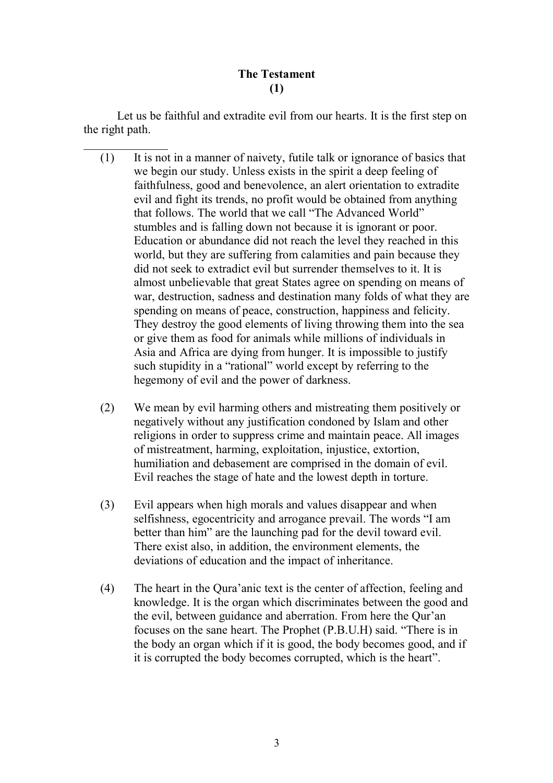## **The Testament (1)**

Let us be faithful and extradite evil from our hearts. It is the first step on the right path.

- $\mathcal{L}_\text{max}$ (1) It is not in a manner of naivety, futile talk or ignorance of basics that we begin our study. Unless exists in the spirit a deep feeling of faithfulness, good and benevolence, an alert orientation to extradite evil and fight its trends, no profit would be obtained from anything that follows. The world that we call "The Advanced World" stumbles and is falling down not because it is ignorant or poor. Education or abundance did not reach the level they reached in this world, but they are suffering from calamities and pain because they did not seek to extradict evil but surrender themselves to it. It is almost unbelievable that great States agree on spending on means of war, destruction, sadness and destination many folds of what they are spending on means of peace, construction, happiness and felicity. They destroy the good elements of living throwing them into the sea or give them as food for animals while millions of individuals in Asia and Africa are dying from hunger. It is impossible to justify such stupidity in a "rational" world except by referring to the hegemony of evil and the power of darkness.
	- (2) We mean by evil harming others and mistreating them positively or negatively without any justification condoned by Islam and other religions in order to suppress crime and maintain peace. All images of mistreatment, harming, exploitation, injustice, extortion, humiliation and debasement are comprised in the domain of evil. Evil reaches the stage of hate and the lowest depth in torture.
	- (3) Evil appears when high morals and values disappear and when selfishness, egocentricity and arrogance prevail. The words "I am better than him" are the launching pad for the devil toward evil. There exist also, in addition, the environment elements, the deviations of education and the impact of inheritance.
	- (4) The heart in the Qura'anic text is the center of affection, feeling and knowledge. It is the organ which discriminates between the good and the evil, between guidance and aberration. From here the Qur'an focuses on the sane heart. The Prophet (P.B.U.H) said. "There is in the body an organ which if it is good, the body becomes good, and if it is corrupted the body becomes corrupted, which is the heart".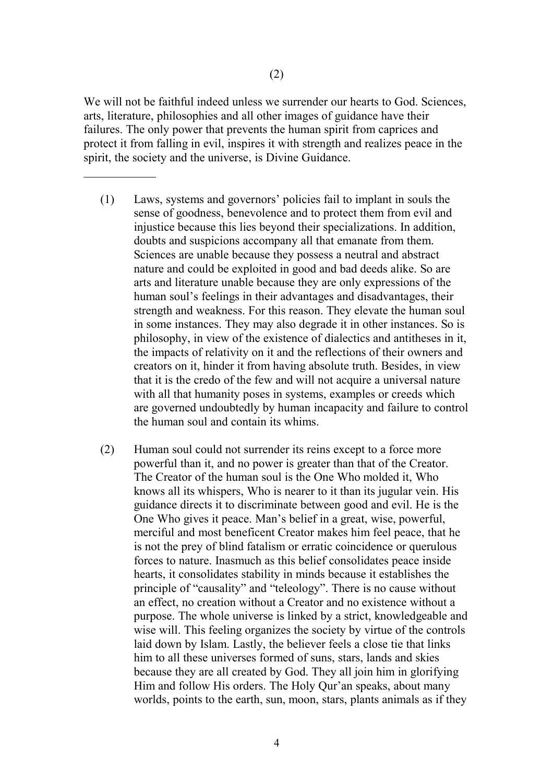We will not be faithful indeed unless we surrender our hearts to God. Sciences, arts, literature, philosophies and all other images of guidance have their failures. The only power that prevents the human spirit from caprices and protect it from falling in evil, inspires it with strength and realizes peace in the spirit, the society and the universe, is Divine Guidance.

 $\frac{1}{2}$ 

- (1) Laws, systems and governors' policies fail to implant in souls the sense of goodness, benevolence and to protect them from evil and injustice because this lies beyond their specializations. In addition, doubts and suspicions accompany all that emanate from them. Sciences are unable because they possess a neutral and abstract nature and could be exploited in good and bad deeds alike. So are arts and literature unable because they are only expressions of the human soul's feelings in their advantages and disadvantages, their strength and weakness. For this reason. They elevate the human soul in some instances. They may also degrade it in other instances. So is philosophy, in view of the existence of dialectics and antitheses in it, the impacts of relativity on it and the reflections of their owners and creators on it, hinder it from having absolute truth. Besides, in view that it is the credo of the few and will not acquire a universal nature with all that humanity poses in systems, examples or creeds which are governed undoubtedly by human incapacity and failure to control the human soul and contain its whims.
- (2) Human soul could not surrender its reins except to a force more powerful than it, and no power is greater than that of the Creator. The Creator of the human soul is the One Who molded it, Who knows all its whispers, Who is nearer to it than its jugular vein. His guidance directs it to discriminate between good and evil. He is the One Who gives it peace. Man's belief in a great, wise, powerful, merciful and most beneficent Creator makes him feel peace, that he is not the prey of blind fatalism or erratic coincidence or querulous forces to nature. Inasmuch as this belief consolidates peace inside hearts, it consolidates stability in minds because it establishes the principle of "causality" and "teleology". There is no cause without an effect, no creation without a Creator and no existence without a purpose. The whole universe is linked by a strict, knowledgeable and wise will. This feeling organizes the society by virtue of the controls laid down by Islam. Lastly, the believer feels a close tie that links him to all these universes formed of suns, stars, lands and skies because they are all created by God. They all join him in glorifying Him and follow His orders. The Holy Qur'an speaks, about many worlds, points to the earth, sun, moon, stars, plants animals as if they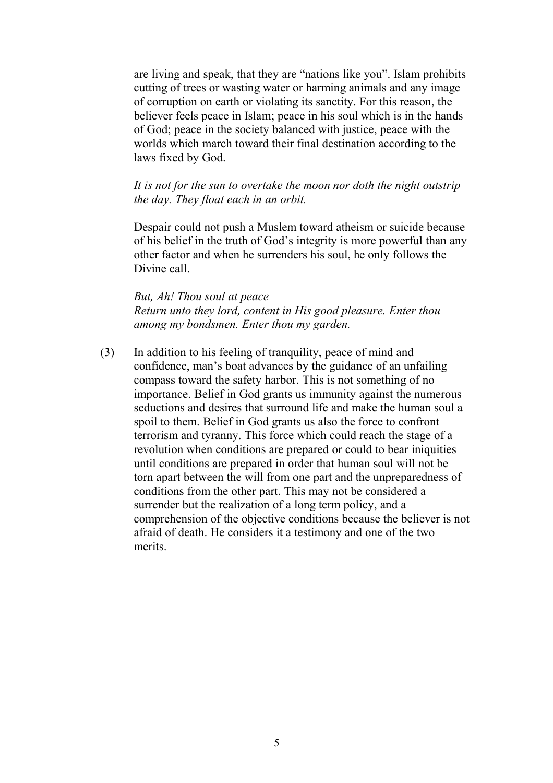are living and speak, that they are "nations like you". Islam prohibits cutting of trees or wasting water or harming animals and any image of corruption on earth or violating its sanctity. For this reason, the believer feels peace in Islam; peace in his soul which is in the hands of God; peace in the society balanced with justice, peace with the worlds which march toward their final destination according to the laws fixed by God.

*It is not for the sun to overtake the moon nor doth the night outstrip the day. They float each in an orbit.*

Despair could not push a Muslem toward atheism or suicide because of his belief in the truth of God's integrity is more powerful than any other factor and when he surrenders his soul, he only follows the Divine call.

*But, Ah! Thou soul at peace Return unto they lord, content in His good pleasure. Enter thou among my bondsmen. Enter thou my garden.*

(3) In addition to his feeling of tranquility, peace of mind and confidence, man's boat advances by the guidance of an unfailing compass toward the safety harbor. This is not something of no importance. Belief in God grants us immunity against the numerous seductions and desires that surround life and make the human soul a spoil to them. Belief in God grants us also the force to confront terrorism and tyranny. This force which could reach the stage of a revolution when conditions are prepared or could to bear iniquities until conditions are prepared in order that human soul will not be torn apart between the will from one part and the unpreparedness of conditions from the other part. This may not be considered a surrender but the realization of a long term policy, and a comprehension of the objective conditions because the believer is not afraid of death. He considers it a testimony and one of the two merits.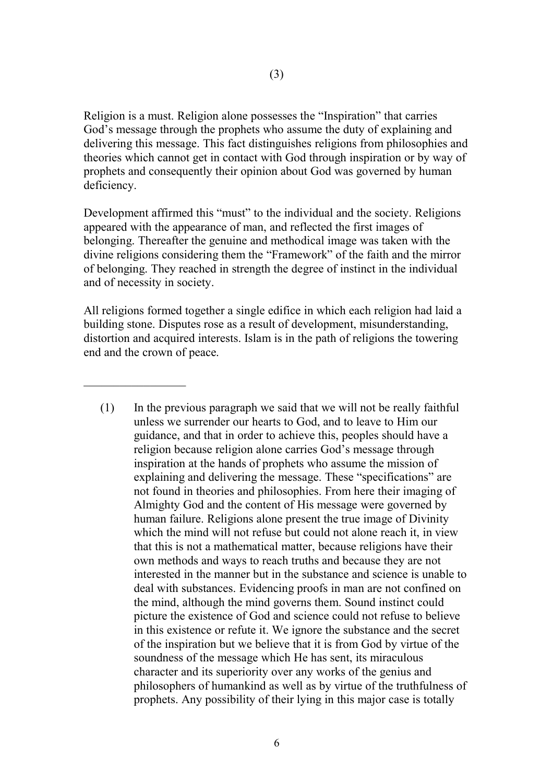Religion is a must. Religion alone possesses the "Inspiration" that carries God's message through the prophets who assume the duty of explaining and delivering this message. This fact distinguishes religions from philosophies and theories which cannot get in contact with God through inspiration or by way of prophets and consequently their opinion about God was governed by human deficiency.

Development affirmed this "must" to the individual and the society. Religions appeared with the appearance of man, and reflected the first images of belonging. Thereafter the genuine and methodical image was taken with the divine religions considering them the "Framework" of the faith and the mirror of belonging. They reached in strength the degree of instinct in the individual and of necessity in society.

All religions formed together a single edifice in which each religion had laid a building stone. Disputes rose as a result of development, misunderstanding, distortion and acquired interests. Islam is in the path of religions the towering end and the crown of peace.

 $\mathcal{L}_\text{max}$ 

(1) In the previous paragraph we said that we will not be really faithful unless we surrender our hearts to God, and to leave to Him our guidance, and that in order to achieve this, peoples should have a religion because religion alone carries God's message through inspiration at the hands of prophets who assume the mission of explaining and delivering the message. These "specifications" are not found in theories and philosophies. From here their imaging of Almighty God and the content of His message were governed by human failure. Religions alone present the true image of Divinity which the mind will not refuse but could not alone reach it, in view that this is not a mathematical matter, because religions have their own methods and ways to reach truths and because they are not interested in the manner but in the substance and science is unable to deal with substances. Evidencing proofs in man are not confined on the mind, although the mind governs them. Sound instinct could picture the existence of God and science could not refuse to believe in this existence or refute it. We ignore the substance and the secret of the inspiration but we believe that it is from God by virtue of the soundness of the message which He has sent, its miraculous character and its superiority over any works of the genius and philosophers of humankind as well as by virtue of the truthfulness of prophets. Any possibility of their lying in this major case is totally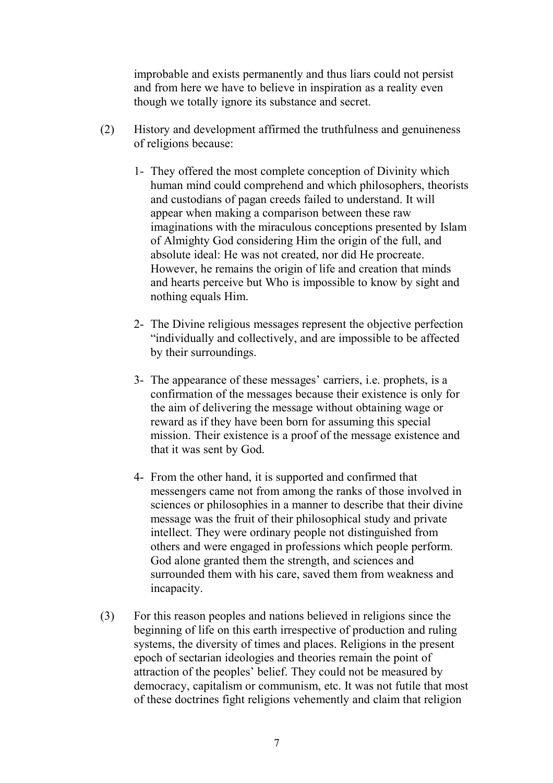improbable and exists permanently and thus liars could not persist and from here we have to believe in inspiration as a reality even though we totally ignore its substance and secret.

- (2) History and development affirmed the truthfulness and genuineness of religions because:
	- 1- They offered the most complete conception of Divinity which human mind could comprehend and which philosophers, theorists and custodians of pagan creeds failed to understand. It will appear when making a comparison between these raw imaginations with the miraculous conceptions presented by Islam of Almighty God considering Him the origin of the full, and absolute ideal: He was not created, nor did He procreate. However, he remains the origin of life and creation that minds and hearts perceive but Who is impossible to know by sight and nothing equals Him.
	- 2- The Divine religious messages represent the objective perfection "individually and collectively, and are impossible to be affected by their surroundings.
	- 3- The appearance of these messages' carriers, i.e. prophets, is a confirmation of the messages because their existence is only for the aim of delivering the message without obtaining wage or reward as if they have been born for assuming this special mission. Their existence is a proof of the message existence and that it was sent by God.
	- 4- From the other hand, it is supported and confirmed that messengers came not from among the ranks of those involved in sciences or philosophies in a manner to describe that their divine message was the fruit of their philosophical study and private intellect. They were ordinary people not distinguished from others and were engaged in professions which people perform. God alone granted them the strength, and sciences and surrounded them with his care, saved them from weakness and incapacity.
- (3) For this reason peoples and nations believed in religions since the beginning of life on this earth irrespective of production and ruling systems, the diversity of times and places. Religions in the present epoch of sectarian ideologies and theories remain the point of attraction of the peoples' belief. They could not be measured by democracy, capitalism or communism, etc. It was not futile that most of these doctrines fight religions vehemently and claim that religion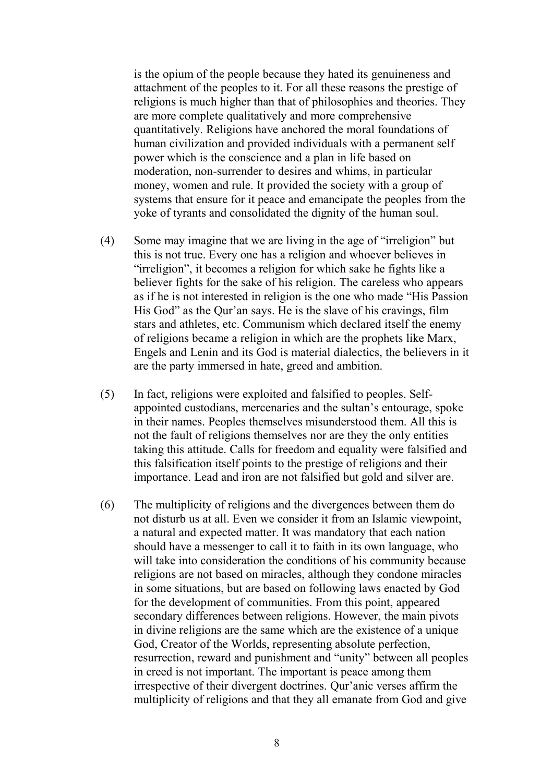is the opium of the people because they hated its genuineness and attachment of the peoples to it. For all these reasons the prestige of religions is much higher than that of philosophies and theories. They are more complete qualitatively and more comprehensive quantitatively. Religions have anchored the moral foundations of human civilization and provided individuals with a permanent self power which is the conscience and a plan in life based on moderation, non-surrender to desires and whims, in particular money, women and rule. It provided the society with a group of systems that ensure for it peace and emancipate the peoples from the yoke of tyrants and consolidated the dignity of the human soul.

- (4) Some may imagine that we are living in the age of "irreligion" but this is not true. Every one has a religion and whoever believes in "irreligion", it becomes a religion for which sake he fights like a believer fights for the sake of his religion. The careless who appears as if he is not interested in religion is the one who made "His Passion His God" as the Qur'an says. He is the slave of his cravings, film stars and athletes, etc. Communism which declared itself the enemy of religions became a religion in which are the prophets like Marx, Engels and Lenin and its God is material dialectics, the believers in it are the party immersed in hate, greed and ambition.
- (5) In fact, religions were exploited and falsified to peoples. Selfappointed custodians, mercenaries and the sultan's entourage, spoke in their names. Peoples themselves misunderstood them. All this is not the fault of religions themselves nor are they the only entities taking this attitude. Calls for freedom and equality were falsified and this falsification itself points to the prestige of religions and their importance. Lead and iron are not falsified but gold and silver are.
- (6) The multiplicity of religions and the divergences between them do not disturb us at all. Even we consider it from an Islamic viewpoint, a natural and expected matter. It was mandatory that each nation should have a messenger to call it to faith in its own language, who will take into consideration the conditions of his community because religions are not based on miracles, although they condone miracles in some situations, but are based on following laws enacted by God for the development of communities. From this point, appeared secondary differences between religions. However, the main pivots in divine religions are the same which are the existence of a unique God, Creator of the Worlds, representing absolute perfection, resurrection, reward and punishment and "unity" between all peoples in creed is not important. The important is peace among them irrespective of their divergent doctrines. Qur'anic verses affirm the multiplicity of religions and that they all emanate from God and give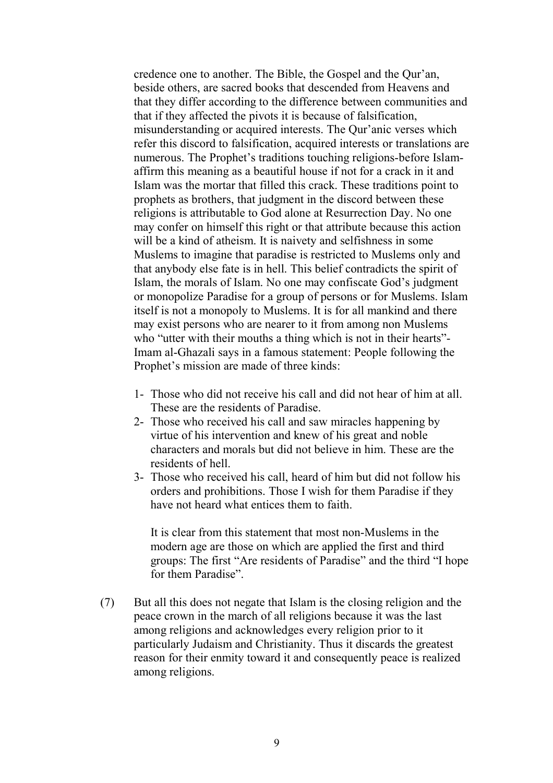credence one to another. The Bible, the Gospel and the Qur'an, beside others, are sacred books that descended from Heavens and that they differ according to the difference between communities and that if they affected the pivots it is because of falsification, misunderstanding or acquired interests. The Qur'anic verses which refer this discord to falsification, acquired interests or translations are numerous. The Prophet's traditions touching religions-before Islamaffirm this meaning as a beautiful house if not for a crack in it and Islam was the mortar that filled this crack. These traditions point to prophets as brothers, that judgment in the discord between these religions is attributable to God alone at Resurrection Day. No one may confer on himself this right or that attribute because this action will be a kind of atheism. It is naivety and selfishness in some Muslems to imagine that paradise is restricted to Muslems only and that anybody else fate is in hell. This belief contradicts the spirit of Islam, the morals of Islam. No one may confiscate God's judgment or monopolize Paradise for a group of persons or for Muslems. Islam itself is not a monopoly to Muslems. It is for all mankind and there may exist persons who are nearer to it from among non Muslems who "utter with their mouths a thing which is not in their hearts"-Imam al-Ghazali says in a famous statement: People following the Prophet's mission are made of three kinds:

- 1- Those who did not receive his call and did not hear of him at all. These are the residents of Paradise.
- 2- Those who received his call and saw miracles happening by virtue of his intervention and knew of his great and noble characters and morals but did not believe in him. These are the residents of hell.
- 3- Those who received his call, heard of him but did not follow his orders and prohibitions. Those I wish for them Paradise if they have not heard what entices them to faith.

It is clear from this statement that most non-Muslems in the modern age are those on which are applied the first and third groups: The first "Are residents of Paradise" and the third "I hope for them Paradise".

(7) But all this does not negate that Islam is the closing religion and the peace crown in the march of all religions because it was the last among religions and acknowledges every religion prior to it particularly Judaism and Christianity. Thus it discards the greatest reason for their enmity toward it and consequently peace is realized among religions.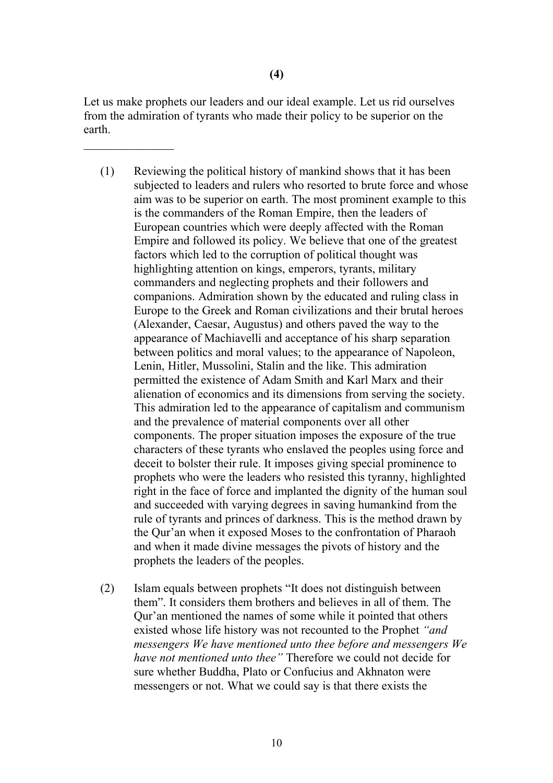Let us make prophets our leaders and our ideal example. Let us rid ourselves from the admiration of tyrants who made their policy to be superior on the earth.

 $\mathcal{L}_\text{max}$ 

- (1) Reviewing the political history of mankind shows that it has been subjected to leaders and rulers who resorted to brute force and whose aim was to be superior on earth. The most prominent example to this is the commanders of the Roman Empire, then the leaders of European countries which were deeply affected with the Roman Empire and followed its policy. We believe that one of the greatest factors which led to the corruption of political thought was highlighting attention on kings, emperors, tyrants, military commanders and neglecting prophets and their followers and companions. Admiration shown by the educated and ruling class in Europe to the Greek and Roman civilizations and their brutal heroes (Alexander, Caesar, Augustus) and others paved the way to the appearance of Machiavelli and acceptance of his sharp separation between politics and moral values; to the appearance of Napoleon, Lenin, Hitler, Mussolini, Stalin and the like. This admiration permitted the existence of Adam Smith and Karl Marx and their alienation of economics and its dimensions from serving the society. This admiration led to the appearance of capitalism and communism and the prevalence of material components over all other components. The proper situation imposes the exposure of the true characters of these tyrants who enslaved the peoples using force and deceit to bolster their rule. It imposes giving special prominence to prophets who were the leaders who resisted this tyranny, highlighted right in the face of force and implanted the dignity of the human soul and succeeded with varying degrees in saving humankind from the rule of tyrants and princes of darkness. This is the method drawn by the Qur'an when it exposed Moses to the confrontation of Pharaoh and when it made divine messages the pivots of history and the prophets the leaders of the peoples.
- (2) Islam equals between prophets "It does not distinguish between them". It considers them brothers and believes in all of them. The Qur'an mentioned the names of some while it pointed that others existed whose life history was not recounted to the Prophet *"and messengers We have mentioned unto thee before and messengers We have not mentioned unto thee"* Therefore we could not decide for sure whether Buddha, Plato or Confucius and Akhnaton were messengers or not. What we could say is that there exists the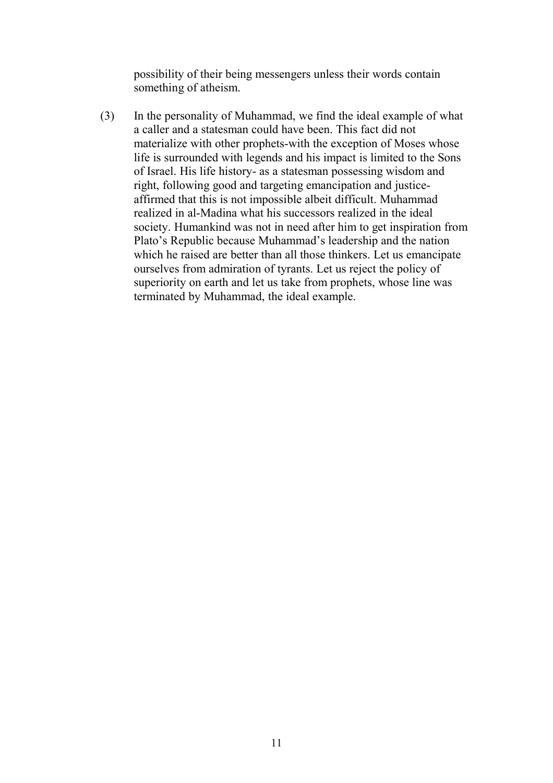possibility of their being messengers unless their words contain something of atheism.

(3) In the personality of Muhammad, we find the ideal example of what a caller and a statesman could have been. This fact did not materialize with other prophets-with the exception of Moses whose life is surrounded with legends and his impact is limited to the Sons of Israel. His life history- as a statesman possessing wisdom and right, following good and targeting emancipation and justiceaffirmed that this is not impossible albeit difficult. Muhammad realized in al-Madina what his successors realized in the ideal society. Humankind was not in need after him to get inspiration from Plato's Republic because Muhammad's leadership and the nation which he raised are better than all those thinkers. Let us emancipate ourselves from admiration of tyrants. Let us reject the policy of superiority on earth and let us take from prophets, whose line was terminated by Muhammad, the ideal example.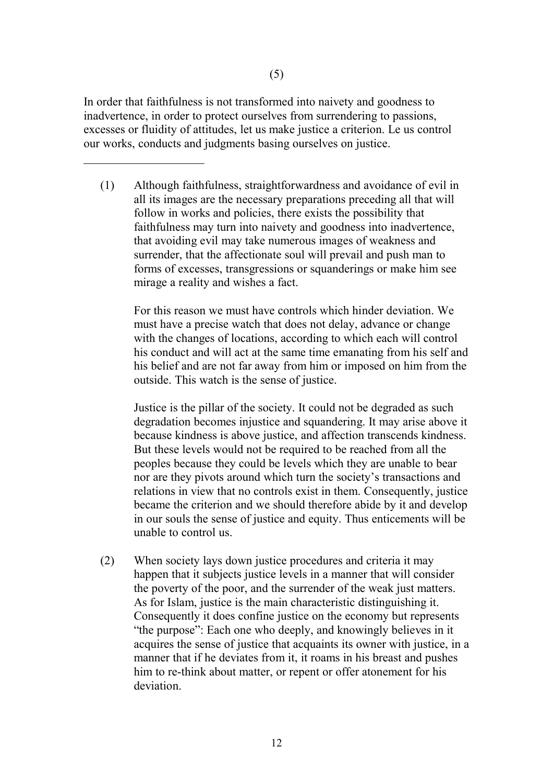In order that faithfulness is not transformed into naivety and goodness to inadvertence, in order to protect ourselves from surrendering to passions, excesses or fluidity of attitudes, let us make justice a criterion. Le us control our works, conducts and judgments basing ourselves on justice.

 $\overline{\phantom{a}}$  , where  $\overline{\phantom{a}}$  , where  $\overline{\phantom{a}}$  , where  $\overline{\phantom{a}}$ 

(1) Although faithfulness, straightforwardness and avoidance of evil in all its images are the necessary preparations preceding all that will follow in works and policies, there exists the possibility that faithfulness may turn into naivety and goodness into inadvertence, that avoiding evil may take numerous images of weakness and surrender, that the affectionate soul will prevail and push man to forms of excesses, transgressions or squanderings or make him see mirage a reality and wishes a fact.

For this reason we must have controls which hinder deviation. We must have a precise watch that does not delay, advance or change with the changes of locations, according to which each will control his conduct and will act at the same time emanating from his self and his belief and are not far away from him or imposed on him from the outside. This watch is the sense of justice.

Justice is the pillar of the society. It could not be degraded as such degradation becomes injustice and squandering. It may arise above it because kindness is above justice, and affection transcends kindness. But these levels would not be required to be reached from all the peoples because they could be levels which they are unable to bear nor are they pivots around which turn the society's transactions and relations in view that no controls exist in them. Consequently, justice became the criterion and we should therefore abide by it and develop in our souls the sense of justice and equity. Thus enticements will be unable to control us.

(2) When society lays down justice procedures and criteria it may happen that it subjects justice levels in a manner that will consider the poverty of the poor, and the surrender of the weak just matters. As for Islam, justice is the main characteristic distinguishing it. Consequently it does confine justice on the economy but represents "the purpose": Each one who deeply, and knowingly believes in it acquires the sense of justice that acquaints its owner with justice, in a manner that if he deviates from it, it roams in his breast and pushes him to re-think about matter, or repent or offer atonement for his deviation.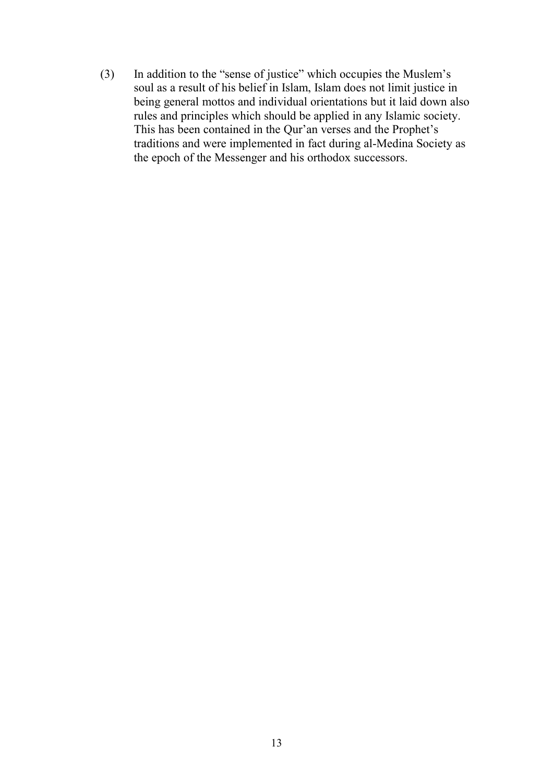(3) In addition to the "sense of justice" which occupies the Muslem's soul as a result of his belief in Islam, Islam does not limit justice in being general mottos and individual orientations but it laid down also rules and principles which should be applied in any Islamic society. This has been contained in the Qur'an verses and the Prophet's traditions and were implemented in fact during al-Medina Society as the epoch of the Messenger and his orthodox successors.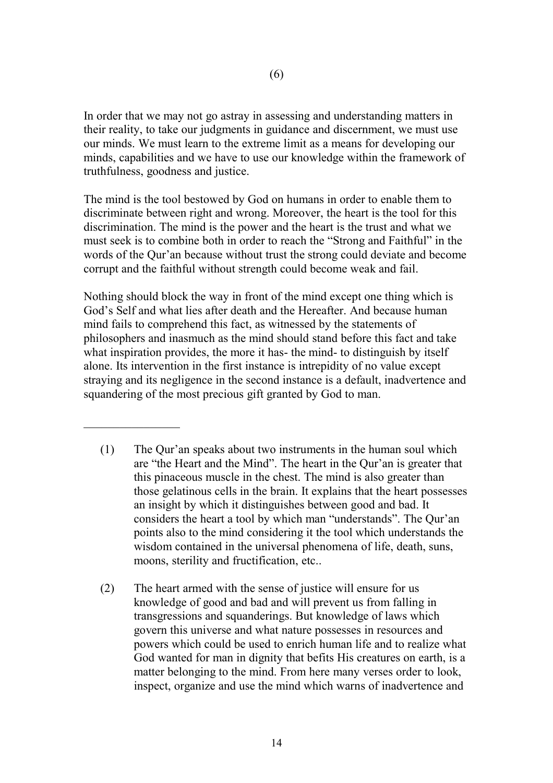In order that we may not go astray in assessing and understanding matters in their reality, to take our judgments in guidance and discernment, we must use our minds. We must learn to the extreme limit as a means for developing our minds, capabilities and we have to use our knowledge within the framework of truthfulness, goodness and justice.

The mind is the tool bestowed by God on humans in order to enable them to discriminate between right and wrong. Moreover, the heart is the tool for this discrimination. The mind is the power and the heart is the trust and what we must seek is to combine both in order to reach the "Strong and Faithful" in the words of the Qur'an because without trust the strong could deviate and become corrupt and the faithful without strength could become weak and fail.

Nothing should block the way in front of the mind except one thing which is God's Self and what lies after death and the Hereafter. And because human mind fails to comprehend this fact, as witnessed by the statements of philosophers and inasmuch as the mind should stand before this fact and take what inspiration provides, the more it has- the mind- to distinguish by itself alone. Its intervention in the first instance is intrepidity of no value except straying and its negligence in the second instance is a default, inadvertence and squandering of the most precious gift granted by God to man.

 $\overline{\phantom{a}}$  , where  $\overline{\phantom{a}}$ 

- (1) The Qur'an speaks about two instruments in the human soul which are "the Heart and the Mind". The heart in the Qur'an is greater that this pinaceous muscle in the chest. The mind is also greater than those gelatinous cells in the brain. It explains that the heart possesses an insight by which it distinguishes between good and bad. It considers the heart a tool by which man "understands". The Qur'an points also to the mind considering it the tool which understands the wisdom contained in the universal phenomena of life, death, suns, moons, sterility and fructification, etc..
- (2) The heart armed with the sense of justice will ensure for us knowledge of good and bad and will prevent us from falling in transgressions and squanderings. But knowledge of laws which govern this universe and what nature possesses in resources and powers which could be used to enrich human life and to realize what God wanted for man in dignity that befits His creatures on earth, is a matter belonging to the mind. From here many verses order to look, inspect, organize and use the mind which warns of inadvertence and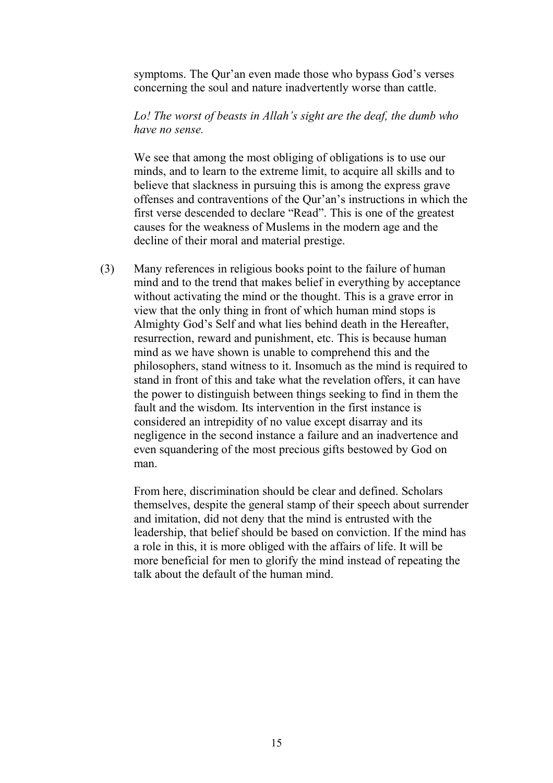symptoms. The Qur'an even made those who bypass God's verses concerning the soul and nature inadvertently worse than cattle.

*Lo! The worst of beasts in Allah's sight are the deaf, the dumb who have no sense.*

We see that among the most obliging of obligations is to use our minds, and to learn to the extreme limit, to acquire all skills and to believe that slackness in pursuing this is among the express grave offenses and contraventions of the Qur'an's instructions in which the first verse descended to declare "Read". This is one of the greatest causes for the weakness of Muslems in the modern age and the decline of their moral and material prestige.

(3) Many references in religious books point to the failure of human mind and to the trend that makes belief in everything by acceptance without activating the mind or the thought. This is a grave error in view that the only thing in front of which human mind stops is Almighty God's Self and what lies behind death in the Hereafter, resurrection, reward and punishment, etc. This is because human mind as we have shown is unable to comprehend this and the philosophers, stand witness to it. Insomuch as the mind is required to stand in front of this and take what the revelation offers, it can have the power to distinguish between things seeking to find in them the fault and the wisdom. Its intervention in the first instance is considered an intrepidity of no value except disarray and its negligence in the second instance a failure and an inadvertence and even squandering of the most precious gifts bestowed by God on man.

From here, discrimination should be clear and defined. Scholars themselves, despite the general stamp of their speech about surrender and imitation, did not deny that the mind is entrusted with the leadership, that belief should be based on conviction. If the mind has a role in this, it is more obliged with the affairs of life. It will be more beneficial for men to glorify the mind instead of repeating the talk about the default of the human mind.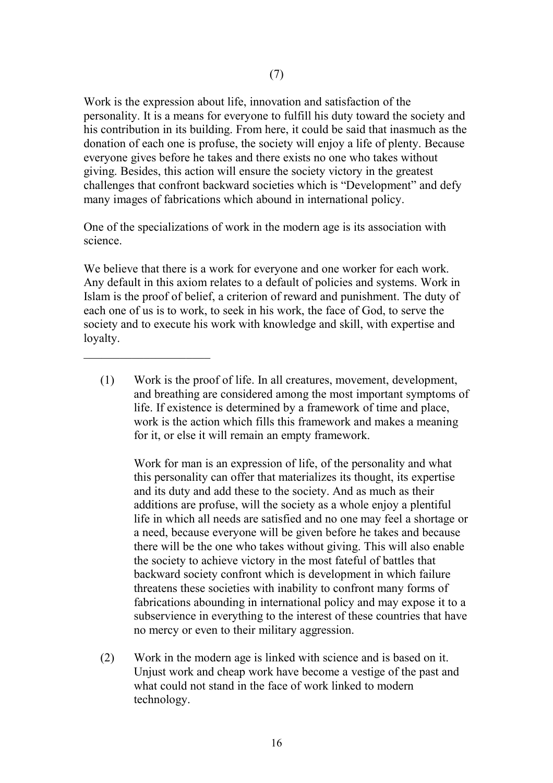Work is the expression about life, innovation and satisfaction of the personality. It is a means for everyone to fulfill his duty toward the society and his contribution in its building. From here, it could be said that inasmuch as the donation of each one is profuse, the society will enjoy a life of plenty. Because everyone gives before he takes and there exists no one who takes without giving. Besides, this action will ensure the society victory in the greatest challenges that confront backward societies which is "Development" and defy many images of fabrications which abound in international policy.

One of the specializations of work in the modern age is its association with science.

We believe that there is a work for everyone and one worker for each work. Any default in this axiom relates to a default of policies and systems. Work in Islam is the proof of belief, a criterion of reward and punishment. The duty of each one of us is to work, to seek in his work, the face of God, to serve the society and to execute his work with knowledge and skill, with expertise and loyalty.

 $\overline{\phantom{a}}$  , where  $\overline{\phantom{a}}$  , where  $\overline{\phantom{a}}$  , where  $\overline{\phantom{a}}$ 

(1) Work is the proof of life. In all creatures, movement, development, and breathing are considered among the most important symptoms of life. If existence is determined by a framework of time and place, work is the action which fills this framework and makes a meaning for it, or else it will remain an empty framework.

Work for man is an expression of life, of the personality and what this personality can offer that materializes its thought, its expertise and its duty and add these to the society. And as much as their additions are profuse, will the society as a whole enjoy a plentiful life in which all needs are satisfied and no one may feel a shortage or a need, because everyone will be given before he takes and because there will be the one who takes without giving. This will also enable the society to achieve victory in the most fateful of battles that backward society confront which is development in which failure threatens these societies with inability to confront many forms of fabrications abounding in international policy and may expose it to a subservience in everything to the interest of these countries that have no mercy or even to their military aggression.

(2) Work in the modern age is linked with science and is based on it. Unjust work and cheap work have become a vestige of the past and what could not stand in the face of work linked to modern technology.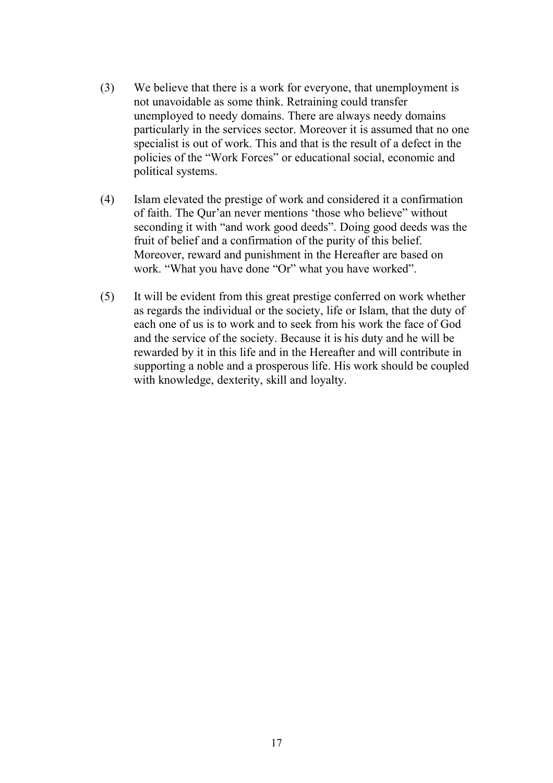- (3) We believe that there is a work for everyone, that unemployment is not unavoidable as some think. Retraining could transfer unemployed to needy domains. There are always needy domains particularly in the services sector. Moreover it is assumed that no one specialist is out of work. This and that is the result of a defect in the policies of the "Work Forces" or educational social, economic and political systems.
- (4) Islam elevated the prestige of work and considered it a confirmation of faith. The Qur'an never mentions 'those who believe" without seconding it with "and work good deeds". Doing good deeds was the fruit of belief and a confirmation of the purity of this belief. Moreover, reward and punishment in the Hereafter are based on work. "What you have done "Or" what you have worked".
- (5) It will be evident from this great prestige conferred on work whether as regards the individual or the society, life or Islam, that the duty of each one of us is to work and to seek from his work the face of God and the service of the society. Because it is his duty and he will be rewarded by it in this life and in the Hereafter and will contribute in supporting a noble and a prosperous life. His work should be coupled with knowledge, dexterity, skill and loyalty.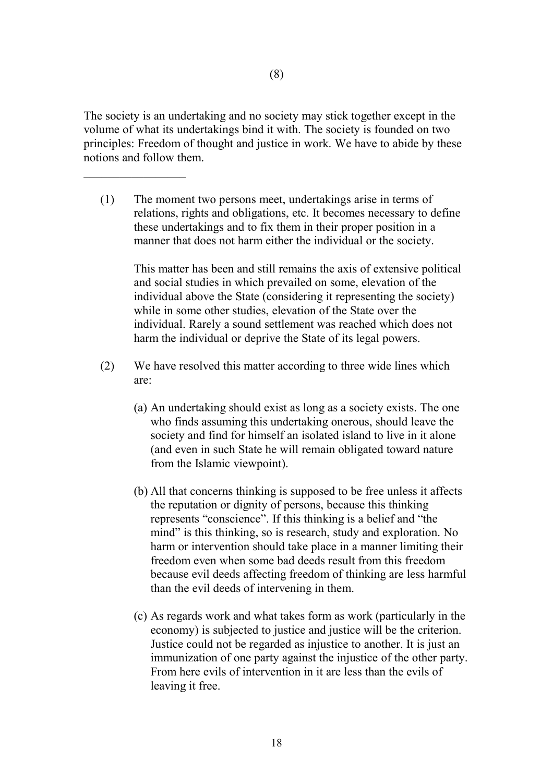The society is an undertaking and no society may stick together except in the volume of what its undertakings bind it with. The society is founded on two principles: Freedom of thought and justice in work. We have to abide by these notions and follow them.

 $\mathcal{L}_\text{max}$ 

(1) The moment two persons meet, undertakings arise in terms of relations, rights and obligations, etc. It becomes necessary to define these undertakings and to fix them in their proper position in a manner that does not harm either the individual or the society.

This matter has been and still remains the axis of extensive political and social studies in which prevailed on some, elevation of the individual above the State (considering it representing the society) while in some other studies, elevation of the State over the individual. Rarely a sound settlement was reached which does not harm the individual or deprive the State of its legal powers.

- (2) We have resolved this matter according to three wide lines which are:
	- (a) An undertaking should exist as long as a society exists. The one who finds assuming this undertaking onerous, should leave the society and find for himself an isolated island to live in it alone (and even in such State he will remain obligated toward nature from the Islamic viewpoint).
	- (b) All that concerns thinking is supposed to be free unless it affects the reputation or dignity of persons, because this thinking represents "conscience". If this thinking is a belief and "the mind" is this thinking, so is research, study and exploration. No harm or intervention should take place in a manner limiting their freedom even when some bad deeds result from this freedom because evil deeds affecting freedom of thinking are less harmful than the evil deeds of intervening in them.
	- (c) As regards work and what takes form as work (particularly in the economy) is subjected to justice and justice will be the criterion. Justice could not be regarded as injustice to another. It is just an immunization of one party against the injustice of the other party. From here evils of intervention in it are less than the evils of leaving it free.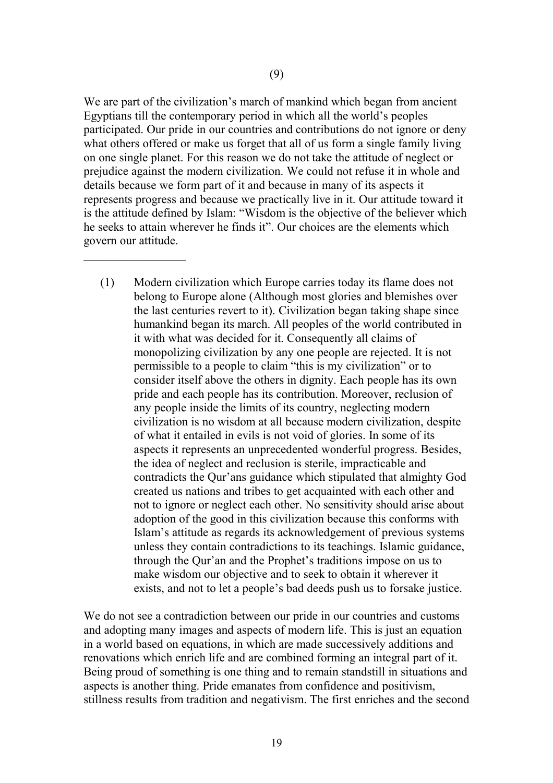We are part of the civilization's march of mankind which began from ancient Egyptians till the contemporary period in which all the world's peoples participated. Our pride in our countries and contributions do not ignore or deny what others offered or make us forget that all of us form a single family living on one single planet. For this reason we do not take the attitude of neglect or prejudice against the modern civilization. We could not refuse it in whole and details because we form part of it and because in many of its aspects it represents progress and because we practically live in it. Our attitude toward it is the attitude defined by Islam: "Wisdom is the objective of the believer which he seeks to attain wherever he finds it". Our choices are the elements which govern our attitude.

 $\overline{\phantom{a}}$  , where  $\overline{\phantom{a}}$ 

(1) Modern civilization which Europe carries today its flame does not belong to Europe alone (Although most glories and blemishes over the last centuries revert to it). Civilization began taking shape since humankind began its march. All peoples of the world contributed in it with what was decided for it. Consequently all claims of monopolizing civilization by any one people are rejected. It is not permissible to a people to claim "this is my civilization" or to consider itself above the others in dignity. Each people has its own pride and each people has its contribution. Moreover, reclusion of any people inside the limits of its country, neglecting modern civilization is no wisdom at all because modern civilization, despite of what it entailed in evils is not void of glories. In some of its aspects it represents an unprecedented wonderful progress. Besides, the idea of neglect and reclusion is sterile, impracticable and contradicts the Qur'ans guidance which stipulated that almighty God created us nations and tribes to get acquainted with each other and not to ignore or neglect each other. No sensitivity should arise about adoption of the good in this civilization because this conforms with Islam's attitude as regards its acknowledgement of previous systems unless they contain contradictions to its teachings. Islamic guidance, through the Qur'an and the Prophet's traditions impose on us to make wisdom our objective and to seek to obtain it wherever it exists, and not to let a people's bad deeds push us to forsake justice.

We do not see a contradiction between our pride in our countries and customs and adopting many images and aspects of modern life. This is just an equation in a world based on equations, in which are made successively additions and renovations which enrich life and are combined forming an integral part of it. Being proud of something is one thing and to remain standstill in situations and aspects is another thing. Pride emanates from confidence and positivism, stillness results from tradition and negativism. The first enriches and the second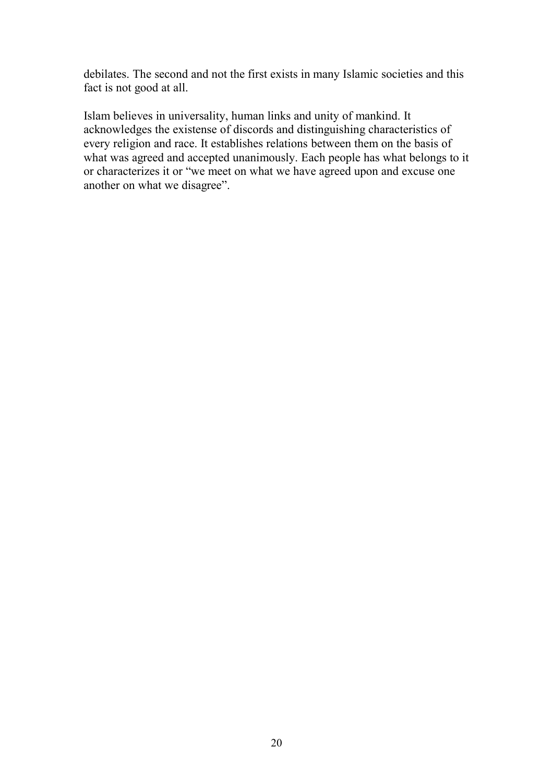debilates. The second and not the first exists in many Islamic societies and this fact is not good at all.

Islam believes in universality, human links and unity of mankind. It acknowledges the existense of discords and distinguishing characteristics of every religion and race. It establishes relations between them on the basis of what was agreed and accepted unanimously. Each people has what belongs to it or characterizes it or "we meet on what we have agreed upon and excuse one another on what we disagree".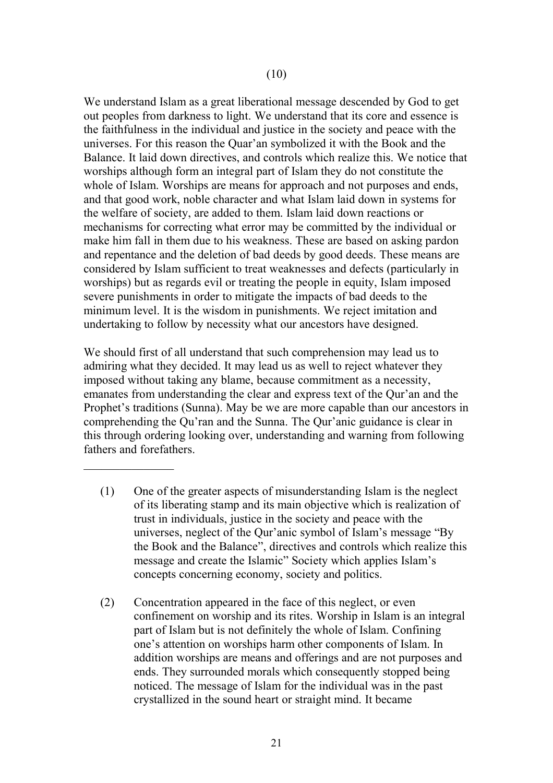We understand Islam as a great liberational message descended by God to get out peoples from darkness to light. We understand that its core and essence is the faithfulness in the individual and justice in the society and peace with the universes. For this reason the Quar'an symbolized it with the Book and the Balance. It laid down directives, and controls which realize this. We notice that worships although form an integral part of Islam they do not constitute the whole of Islam. Worships are means for approach and not purposes and ends, and that good work, noble character and what Islam laid down in systems for the welfare of society, are added to them. Islam laid down reactions or mechanisms for correcting what error may be committed by the individual or make him fall in them due to his weakness. These are based on asking pardon and repentance and the deletion of bad deeds by good deeds. These means are considered by Islam sufficient to treat weaknesses and defects (particularly in worships) but as regards evil or treating the people in equity, Islam imposed severe punishments in order to mitigate the impacts of bad deeds to the minimum level. It is the wisdom in punishments. We reject imitation and undertaking to follow by necessity what our ancestors have designed.

We should first of all understand that such comprehension may lead us to admiring what they decided. It may lead us as well to reject whatever they imposed without taking any blame, because commitment as a necessity, emanates from understanding the clear and express text of the Qur'an and the Prophet's traditions (Sunna). May be we are more capable than our ancestors in comprehending the Qu'ran and the Sunna. The Qur'anic guidance is clear in this through ordering looking over, understanding and warning from following fathers and forefathers.

 $\overline{\phantom{a}}$  , where  $\overline{\phantom{a}}$ 

- (1) One of the greater aspects of misunderstanding Islam is the neglect of its liberating stamp and its main objective which is realization of trust in individuals, justice in the society and peace with the universes, neglect of the Qur'anic symbol of Islam's message "By the Book and the Balance", directives and controls which realize this message and create the Islamic" Society which applies Islam's concepts concerning economy, society and politics.
- (2) Concentration appeared in the face of this neglect, or even confinement on worship and its rites. Worship in Islam is an integral part of Islam but is not definitely the whole of Islam. Confining one's attention on worships harm other components of Islam. In addition worships are means and offerings and are not purposes and ends. They surrounded morals which consequently stopped being noticed. The message of Islam for the individual was in the past crystallized in the sound heart or straight mind. It became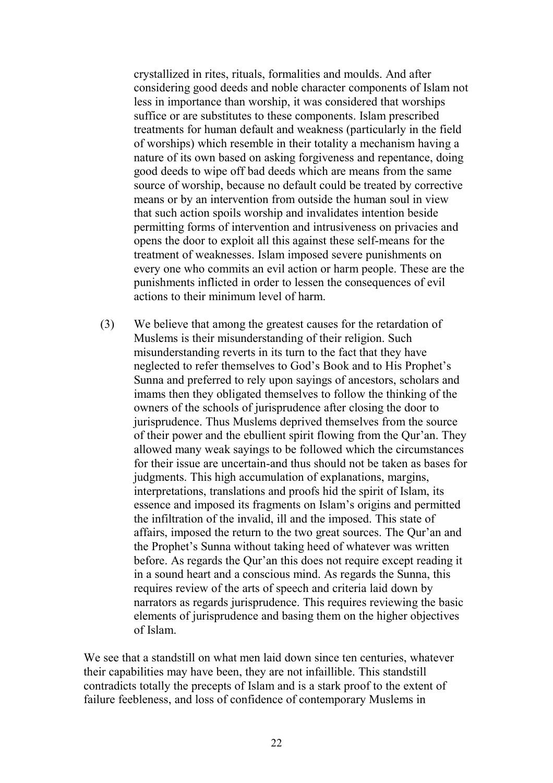crystallized in rites, rituals, formalities and moulds. And after considering good deeds and noble character components of Islam not less in importance than worship, it was considered that worships suffice or are substitutes to these components. Islam prescribed treatments for human default and weakness (particularly in the field of worships) which resemble in their totality a mechanism having a nature of its own based on asking forgiveness and repentance, doing good deeds to wipe off bad deeds which are means from the same source of worship, because no default could be treated by corrective means or by an intervention from outside the human soul in view that such action spoils worship and invalidates intention beside permitting forms of intervention and intrusiveness on privacies and opens the door to exploit all this against these self-means for the treatment of weaknesses. Islam imposed severe punishments on every one who commits an evil action or harm people. These are the punishments inflicted in order to lessen the consequences of evil actions to their minimum level of harm.

(3) We believe that among the greatest causes for the retardation of Muslems is their misunderstanding of their religion. Such misunderstanding reverts in its turn to the fact that they have neglected to refer themselves to God's Book and to His Prophet's Sunna and preferred to rely upon sayings of ancestors, scholars and imams then they obligated themselves to follow the thinking of the owners of the schools of jurisprudence after closing the door to jurisprudence. Thus Muslems deprived themselves from the source of their power and the ebullient spirit flowing from the Qur'an. They allowed many weak sayings to be followed which the circumstances for their issue are uncertain-and thus should not be taken as bases for judgments. This high accumulation of explanations, margins, interpretations, translations and proofs hid the spirit of Islam, its essence and imposed its fragments on Islam's origins and permitted the infiltration of the invalid, ill and the imposed. This state of affairs, imposed the return to the two great sources. The Qur'an and the Prophet's Sunna without taking heed of whatever was written before. As regards the Qur'an this does not require except reading it in a sound heart and a conscious mind. As regards the Sunna, this requires review of the arts of speech and criteria laid down by narrators as regards jurisprudence. This requires reviewing the basic elements of jurisprudence and basing them on the higher objectives of Islam.

We see that a standstill on what men laid down since ten centuries, whatever their capabilities may have been, they are not infaillible. This standstill contradicts totally the precepts of Islam and is a stark proof to the extent of failure feebleness, and loss of confidence of contemporary Muslems in